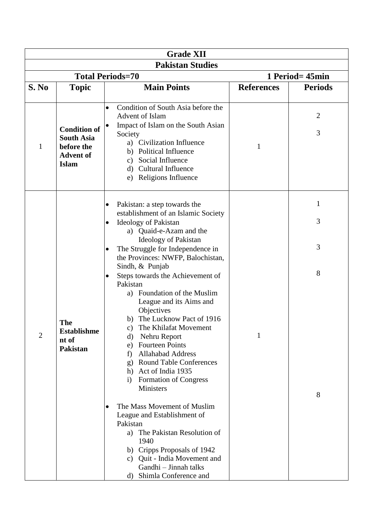| <b>Grade XII</b>        |                                                                                            |                                                                                                                                                                                                                                                                                                                                                                                                                                                                                                                                                                                                                                                                                         |                   |                       |  |  |  |  |
|-------------------------|--------------------------------------------------------------------------------------------|-----------------------------------------------------------------------------------------------------------------------------------------------------------------------------------------------------------------------------------------------------------------------------------------------------------------------------------------------------------------------------------------------------------------------------------------------------------------------------------------------------------------------------------------------------------------------------------------------------------------------------------------------------------------------------------------|-------------------|-----------------------|--|--|--|--|
| <b>Pakistan Studies</b> |                                                                                            |                                                                                                                                                                                                                                                                                                                                                                                                                                                                                                                                                                                                                                                                                         |                   |                       |  |  |  |  |
|                         |                                                                                            | <b>Total Periods=70</b>                                                                                                                                                                                                                                                                                                                                                                                                                                                                                                                                                                                                                                                                 | 1 Period= 45min   |                       |  |  |  |  |
| S. No                   | <b>Topic</b>                                                                               | <b>Main Points</b>                                                                                                                                                                                                                                                                                                                                                                                                                                                                                                                                                                                                                                                                      | <b>References</b> | <b>Periods</b>        |  |  |  |  |
| 1                       | <b>Condition of</b><br><b>South Asia</b><br>before the<br><b>Advent of</b><br><b>Islam</b> | Condition of South Asia before the<br>$\bullet$<br><b>Advent of Islam</b><br>Impact of Islam on the South Asian<br>Society<br>a) Civilization Influence<br>b) Political Influence<br>Social Influence<br>$\mathbf{c})$<br>d) Cultural Influence<br>e) Religions Influence                                                                                                                                                                                                                                                                                                                                                                                                               | 1                 | $\overline{2}$<br>3   |  |  |  |  |
| $\overline{2}$          | <b>The</b><br><b>Establishme</b><br>nt of<br><b>Pakistan</b>                               | Pakistan: a step towards the<br>establishment of an Islamic Society<br><b>Ideology of Pakistan</b><br>$\bullet$<br>a) Quaid-e-Azam and the<br>Ideology of Pakistan<br>The Struggle for Independence in<br>$\bullet$<br>the Provinces: NWFP, Balochistan,<br>Sindh, & Punjab<br>Steps towards the Achievement of<br>Pakistan<br>Foundation of the Muslim<br>a)<br>League and its Aims and<br>Objectives<br>b) The Lucknow Pact of 1916<br>c) The Khilafat Movement<br>Nehru Report<br>d)<br><b>Fourteen Points</b><br>e)<br><b>Allahabad Address</b><br>f)<br><b>Round Table Conferences</b><br>$\mathbf{g}$ )<br>h) Act of India 1935<br>Formation of Congress<br>$\rm i)$<br>Ministers | 1                 | 1<br>3<br>3<br>8<br>8 |  |  |  |  |
|                         |                                                                                            | The Mass Movement of Muslim<br>$\bullet$<br>League and Establishment of<br>Pakistan<br>a) The Pakistan Resolution of<br>1940<br>b) Cripps Proposals of 1942<br>c) Quit - India Movement and<br>Gandhi - Jinnah talks<br>Shimla Conference and<br>d)                                                                                                                                                                                                                                                                                                                                                                                                                                     |                   |                       |  |  |  |  |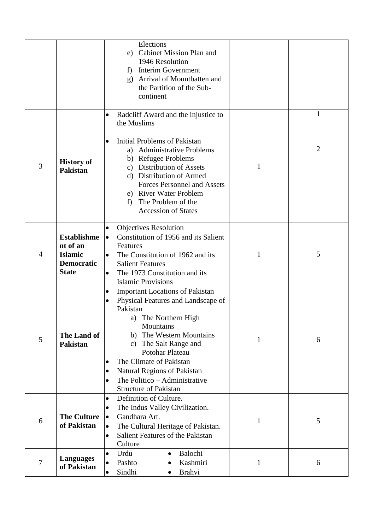|   |                                                                                       | Elections<br>Cabinet Mission Plan and<br>e)<br>1946 Resolution<br><b>Interim Government</b><br>f)<br>Arrival of Mountbatten and<br>$\mathbf{g}$<br>the Partition of the Sub-<br>continent                                                                                                                                                                                                        |   |                   |
|---|---------------------------------------------------------------------------------------|--------------------------------------------------------------------------------------------------------------------------------------------------------------------------------------------------------------------------------------------------------------------------------------------------------------------------------------------------------------------------------------------------|---|-------------------|
| 3 | <b>History of</b><br><b>Pakistan</b>                                                  | Radcliff Award and the injustice to<br>$\bullet$<br>the Muslims<br><b>Initial Problems of Pakistan</b><br>$\bullet$<br>a) Administrative Problems<br>b) Refugee Problems<br><b>Distribution of Assets</b><br>$\mathbf{c})$<br>d) Distribution of Armed<br><b>Forces Personnel and Assets</b><br>e) River Water Problem<br>The Problem of the<br>f)<br><b>Accession of States</b>                 | 1 | $\mathbf{1}$<br>2 |
| 4 | <b>Establishme</b><br>nt of an<br><b>Islamic</b><br><b>Democratic</b><br><b>State</b> | <b>Objectives Resolution</b><br>۰<br>Constitution of 1956 and its Salient<br>$\bullet$<br>Features<br>The Constitution of 1962 and its<br>$\bullet$<br><b>Salient Features</b><br>The 1973 Constitution and its<br>$\bullet$<br><b>Islamic Provisions</b>                                                                                                                                        | 1 | 5                 |
| 5 | The Land of<br><b>Pakistan</b>                                                        | <b>Important Locations of Pakistan</b><br>Physical Features and Landscape of<br>Pakistan<br>a) The Northern High<br>Mountains<br>The Western Mountains<br>b)<br>The Salt Range and<br>$\mathbf{c}$ )<br>Potohar Plateau<br>The Climate of Pakistan<br>$\bullet$<br><b>Natural Regions of Pakistan</b><br>$\bullet$<br>The Politico - Administrative<br>$\bullet$<br><b>Structure of Pakistan</b> | 1 | 6                 |
| 6 | <b>The Culture</b><br>of Pakistan                                                     | Definition of Culture.<br>$\bullet$<br>The Indus Valley Civilization.<br>Gandhara Art.<br>$\bullet$<br>The Cultural Heritage of Pakistan.<br>$\bullet$<br>Salient Features of the Pakistan<br>$\bullet$<br>Culture                                                                                                                                                                               | 1 | 5                 |
| 7 | <b>Languages</b><br>of Pakistan                                                       | Balochi<br>Urdu<br>$\bullet$<br>Kashmiri<br>Pashto<br>$\bullet$<br>Sindhi<br><b>Brahvi</b><br>$\bullet$                                                                                                                                                                                                                                                                                          | 1 | 6                 |